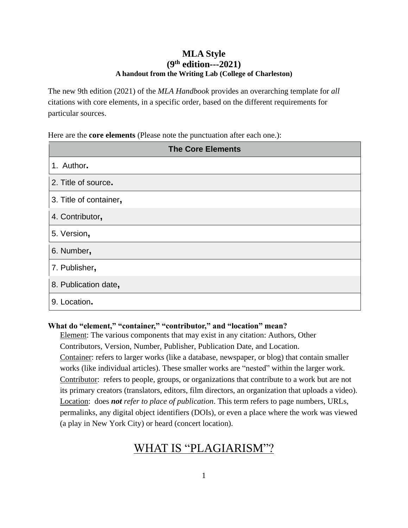# **MLA Style (9 th edition---2021) A handout from the Writing Lab (College of Charleston)**

The new 9th edition (2021) of the *MLA Handbook* provides an overarching template for *all* citations with core elements, in a specific order, based on the different requirements for particular sources.

Here are the **core elements** (Please note the punctuation after each one.):

| <b>The Core Elements</b> |
|--------------------------|
| 1. Author.               |
| 2. Title of source.      |
| 3. Title of container,   |
| 4. Contributor,          |
| 5. Version,              |
| 6. Number,               |
| 7. Publisher,            |
| 8. Publication date,     |
| 9. Location.             |

## **What do "element," "container," "contributor," and "location" mean?**

Element: The various components that may exist in any citation: Authors, Other Contributors, Version, Number, Publisher, Publication Date, and Location. Container: refers to larger works (like a database, newspaper, or blog) that contain smaller works (like individual articles). These smaller works are "nested" within the larger work. Contributor: refers to people, groups, or organizations that contribute to a work but are not its primary creators (translators, editors, film directors, an organization that uploads a video). Location: does *not refer to place of publication*. This term refers to page numbers, URLs, permalinks, any digital object identifiers (DOIs), or even a place where the work was viewed (a play in New York City) or heard (concert location).

# WHAT IS "PLAGIARISM"?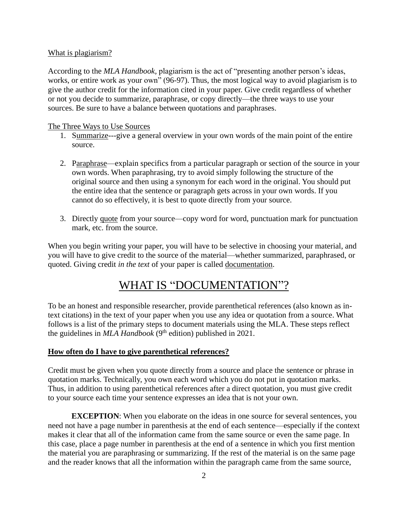#### What is plagiarism?

According to the *MLA Handbook,* plagiarism is the act of "presenting another person's ideas, works, or entire work as your own" (96-97). Thus, the most logical way to avoid plagiarism is to give the author credit for the information cited in your paper. Give credit regardless of whether or not you decide to summarize, paraphrase, or copy directly—the three ways to use your sources. Be sure to have a balance between quotations and paraphrases.

#### The Three Ways to Use Sources

- 1. Summarize---give a general overview in your own words of the main point of the entire source.
- 2. Paraphrase—explain specifics from a particular paragraph or section of the source in your own words. When paraphrasing, try to avoid simply following the structure of the original source and then using a synonym for each word in the original. You should put the entire idea that the sentence or paragraph gets across in your own words. If you cannot do so effectively, it is best to quote directly from your source.
- 3. Directly quote from your source—copy word for word, punctuation mark for punctuation mark, etc. from the source.

When you begin writing your paper, you will have to be selective in choosing your material, and you will have to give credit to the source of the material—whether summarized, paraphrased, or quoted. Giving credit *in the text* of your paper is called documentation.

# WHAT IS "DOCUMENTATION"?

To be an honest and responsible researcher, provide parenthetical references (also known as intext citations) in the text of your paper when you use any idea or quotation from a source. What follows is a list of the primary steps to document materials using the MLA. These steps reflect the guidelines in *MLA Handbook* (9<sup>th</sup> edition) published in 2021.

#### **How often do I have to give parenthetical references?**

Credit must be given when you quote directly from a source and place the sentence or phrase in quotation marks. Technically, you own each word which you do not put in quotation marks. Thus, in addition to using parenthetical references after a direct quotation, you must give credit to your source each time your sentence expresses an idea that is not your own.

**EXCEPTION:** When you elaborate on the ideas in one source for several sentences, you need not have a page number in parenthesis at the end of each sentence—especially if the context makes it clear that all of the information came from the same source or even the same page. In this case, place a page number in parenthesis at the end of a sentence in which you first mention the material you are paraphrasing or summarizing. If the rest of the material is on the same page and the reader knows that all the information within the paragraph came from the same source,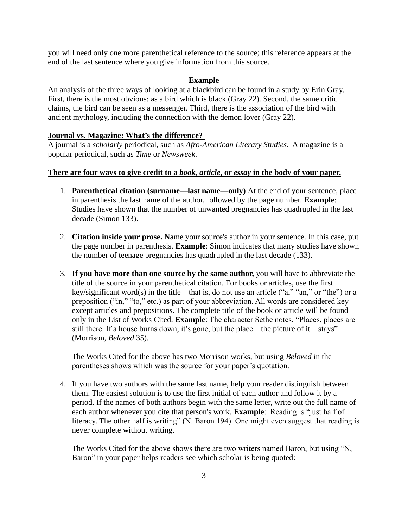you will need only one more parenthetical reference to the source; this reference appears at the end of the last sentence where you give information from this source.

#### **Example**

An analysis of the three ways of looking at a blackbird can be found in a study by Erin Gray. First, there is the most obvious: as a bird which is black (Gray 22). Second, the same critic claims, the bird can be seen as a messenger. Third, there is the association of the bird with ancient mythology, including the connection with the demon lover (Gray 22).

#### **Journal vs. Magazine: What's the difference?**

A journal is a *scholarly* periodical, such as *Afro-American Literary Studies*. A magazine is a popular periodical, such as *Time* or *Newsweek*.

#### **There are four ways to give credit to a** *book, article***, or** *essay* **in the body of your paper.**

- 1. **Parenthetical citation (surname—last name—only)** At the end of your sentence, place in parenthesis the last name of the author, followed by the page number. **Example**: Studies have shown that the number of unwanted pregnancies has quadrupled in the last decade (Simon 133).
- 2. **Citation inside your prose. N**ame your source's author in your sentence. In this case, put the page number in parenthesis. **Example**: Simon indicates that many studies have shown the number of teenage pregnancies has quadrupled in the last decade (133).
- 3. **If you have more than one source by the same author,** you will have to abbreviate the title of the source in your parenthetical citation. For books or articles, use the first key/significant word(s) in the title—that is, do not use an article ("a," "an," or "the") or a preposition ("in," "to," etc.) as part of your abbreviation. All words are considered key except articles and prepositions. The complete title of the book or article will be found only in the List of Works Cited. **Example**: The character Sethe notes, "Places, places are still there. If a house burns down, it's gone, but the place—the picture of it—stays" (Morrison, *Beloved* 35).

The Works Cited for the above has two Morrison works, but using *Beloved* in the parentheses shows which was the source for your paper's quotation.

4. If you have two authors with the same last name, help your reader distinguish between them. The easiest solution is to use the first initial of each author and follow it by a period. If the names of both authors begin with the same letter, write out the full name of each author whenever you cite that person's work. **Example**: Reading is "just half of literacy. The other half is writing" (N. Baron 194). One might even suggest that reading is never complete without writing.

The Works Cited for the above shows there are two writers named Baron, but using "N, Baron" in your paper helps readers see which scholar is being quoted: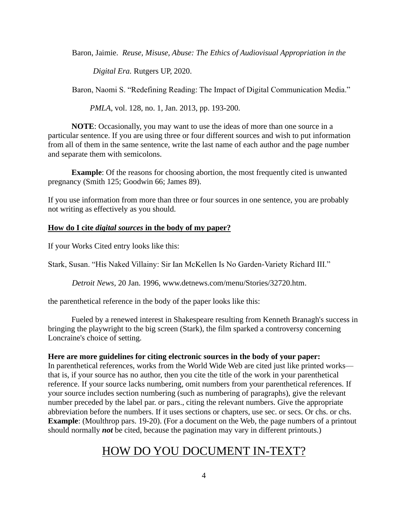Baron, Jaimie. *Reuse, Misuse, Abuse: The Ethics of Audiovisual Appropriation in the* 

*Digital Era.* Rutgers UP, 2020.

Baron, Naomi S. "Redefining Reading: The Impact of Digital Communication Media."

*PMLA*, vol. 128, no. 1, Jan. 2013, pp. 193-200.

**NOTE**: Occasionally, you may want to use the ideas of more than one source in a particular sentence. If you are using three or four different sources and wish to put information from all of them in the same sentence, write the last name of each author and the page number and separate them with semicolons.

**Example**: Of the reasons for choosing abortion, the most frequently cited is unwanted pregnancy (Smith 125; Goodwin 66; James 89).

If you use information from more than three or four sources in one sentence, you are probably not writing as effectively as you should.

#### **How do I cite** *digital sources* **in the body of my paper?**

If your Works Cited entry looks like this:

Stark, Susan. "His Naked Villainy: Sir Ian McKellen Is No Garden-Variety Richard III."

*Detroit News,* 20 Jan. 1996, www.detnews.com/menu/Stories/32720.htm.

the parenthetical reference in the body of the paper looks like this:

Fueled by a renewed interest in Shakespeare resulting from Kenneth Branagh's success in bringing the playwright to the big screen (Stark), the film sparked a controversy concerning Loncraine's choice of setting.

#### **Here are more guidelines for citing electronic sources in the body of your paper:**

In parenthetical references, works from the World Wide Web are cited just like printed works that is, if your source has no author, then you cite the title of the work in your parenthetical reference. If your source lacks numbering, omit numbers from your parenthetical references. If your source includes section numbering (such as numbering of paragraphs), give the relevant number preceded by the label par. or pars., citing the relevant numbers. Give the appropriate abbreviation before the numbers. If it uses sections or chapters, use sec. or secs. Or chs. or chs. **Example**: (Moulthrop pars. 19-20). (For a document on the Web, the page numbers of a printout should normally *not* be cited, because the pagination may vary in different printouts.)

# HOW DO YOU DOCUMENT IN-TEXT?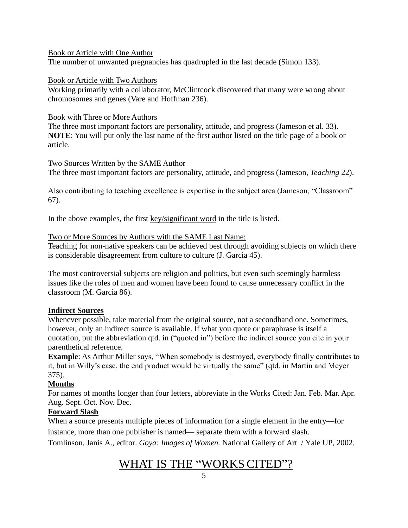#### Book or Article with One Author

The number of unwanted pregnancies has quadrupled in the last decade (Simon 133).

#### Book or Article with Two Authors

Working primarily with a collaborator, McClintcock discovered that many were wrong about chromosomes and genes (Vare and Hoffman 236).

#### Book with Three or More Authors

The three most important factors are personality, attitude, and progress (Jameson et al. 33). **NOTE**: You will put only the last name of the first author listed on the title page of a book or article.

#### Two Sources Written by the SAME Author

The three most important factors are personality, attitude, and progress (Jameson, *Teaching* 22).

Also contributing to teaching excellence is expertise in the subject area (Jameson, "Classroom" 67).

In the above examples, the first key/significant word in the title is listed.

#### Two or More Sources by Authors with the SAME Last Name:

Teaching for non-native speakers can be achieved best through avoiding subjects on which there is considerable disagreement from culture to culture (J. Garcia 45).

The most controversial subjects are religion and politics, but even such seemingly harmless issues like the roles of men and women have been found to cause unnecessary conflict in the classroom (M. Garcia 86).

#### **Indirect Sources**

Whenever possible, take material from the original source, not a secondhand one. Sometimes, however, only an indirect source is available. If what you quote or paraphrase is itself a quotation, put the abbreviation qtd. in ("quoted in") before the indirect source you cite in your parenthetical reference.

**Example:** As Arthur Miller says, "When somebody is destroyed, everybody finally contributes to it, but in Willy's case, the end product would be virtually the same" (qtd. in Martin and Meyer 375).

#### **Months**

For names of months longer than four letters, abbreviate in the Works Cited: Jan. Feb. Mar. Apr. Aug. Sept. Oct. Nov. Dec.

#### **Forward Slash**

When a source presents multiple pieces of information for a single element in the entry—for instance, more than one publisher is named— separate them with a forward slash.

Tomlinson, Janis A., editor. *Goya: Images of Women.* National Gallery of Art / Yale UP, 2002.

# <u>WHAT IS THE "WORKS CITED"?</u>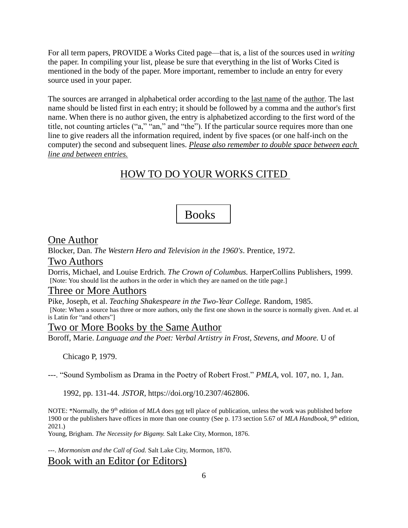For all term papers, PROVIDE a Works Cited page—that is, a list of the sources used in *writing* the paper. In compiling your list, please be sure that everything in the list of Works Cited is mentioned in the body of the paper. More important, remember to include an entry for every source used in your paper.

The sources are arranged in alphabetical order according to the <u>last name</u> of the <u>author</u>. The last name should be listed first in each entry; it should be followed by a comma and the author's first name. When there is no author given, the entry is alphabetized according to the first word of the title, not counting articles ("a," "an," and "the"). If the particular source requires more than one line to give readers all the information required, indent by five spaces (or one half-inch on the computer) the second and subsequent lines. *Please also remember to double space between each line and between entries.*

# HOW TO DO YOUR WORKS CITED

# Books

#### One Author

Blocker, Dan. *The Western Hero and Television in the 1960's*. Prentice, 1972.

#### Two Authors

Dorris, Michael, and Louise Erdrich. *The Crown of Columbus.* HarperCollins Publishers, 1999. [Note: You should list the authors in the order in which they are named on the title page.]

#### Three or More Authors

Pike, Joseph, et al. *Teaching Shakespeare in the Two-Year College.* Random, 1985. [Note: When a source has three or more authors, only the first one shown in the source is normally given. And et. al is Latin for "and others"]

#### Two or More Books by the Same Author

Boroff, Marie. *Language and the Poet: Verbal Artistry in Frost, Stevens, and Moore.* U of

Chicago P, 1979.

---. "Sound Symbolism as Drama in the Poetry of Robert Frost." *PMLA*, vol. 107, no. 1, Jan.

1992, pp. 131-44. *JSTOR*, https://doi.org/10.2307/462806.

NOTE: \*Normally, the 9<sup>th</sup> edition of *MLA* does <u>not</u> tell place of publication, unless the work was published before 1900 or the publishers have offices in more than one country (See p. 173 section 5.67 of *MLA Handbook*, 9th edition, 2021.)

Young, Brigham. *The Necessity for Bigamy.* Salt Lake City, Mormon, 1876.

---. *Mormonism and the Call of God.* Salt Lake City, Mormon, 1870.

#### Book with an Editor (or Editors)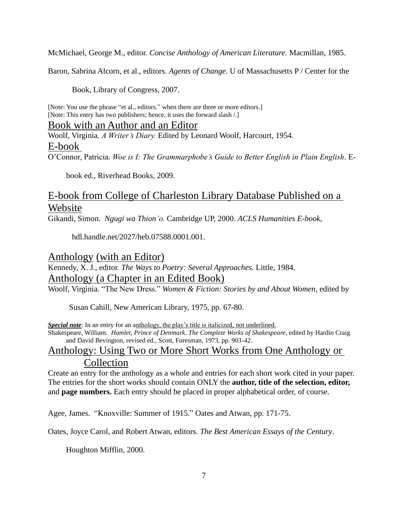McMichael, George M., editor. *Concise Anthology of American Literature.* Macmillan, 1985.

Baron, Sabrina Alcorn, et al., editors. *Agents of Change*. U of Massachusetts P / Center for the

Book, Library of Congress, 2007.

[Note: You use the phrase "et al., editors." when there are three or more editors.] [Note: This entry has two publishers; hence, it uses the forward slash /.]

## Book with an Author and an Editor

Woolf, Virginia. *A Writer's Diary.* Edited by Leonard Woolf, Harcourt, 1954. E-book O'Connor, Patricia. *Woe is I: The Grammarphobe's Guide to Better English in Plain English*. E-

book ed., Riverhead Books, 2009.

# E-book from College of Charleston Library Database Published on a Website

Gikandi, Simon. *Ngugi wa Thion'o.* Cambridge UP, 2000. *ACLS Humanities E-book*,

hdl.handle.net/2027/heb.07588.0001.001.

# Anthology (with an Editor)

# Kennedy, X. J., editor. *The Ways to Poetry: Several Approaches.* Little, 1984. Anthology (a Chapter in an Edited Book)

Woolf, Virginia. "The New Dress." *Women & Fiction: Stories by and About Women,* edited by

Susan Cahill, New American Library, 1975, pp. 67-80.

*Special note*: In an entry for an anthology, the play's title is italicized, not underlined.

Shakespeare, William. *Hamlet, Prince of Denmark*. *The Complete Works of Shakespeare*, edited by Hardin Craig and David Bevington, revised ed., Scott, Foresman, 1973, pp. 903-42.

# Anthology: Using Two or More Short Works from One Anthology or Collection

Create an entry for the anthology as a whole and entries for each short work cited in your paper. The entries for the short works should contain ONLY the **author, title of the selection, editor,**  and **page numbers.** Each entry should be placed in proper alphabetical order, of course.

Agee, James. "Knoxville: Summer of 1915." Oates and Atwan, pp. 171-75.

Oates, Joyce Carol, and Robert Atwan, editors. *The Best American Essays of the Century*.

Houghton Mifflin, 2000.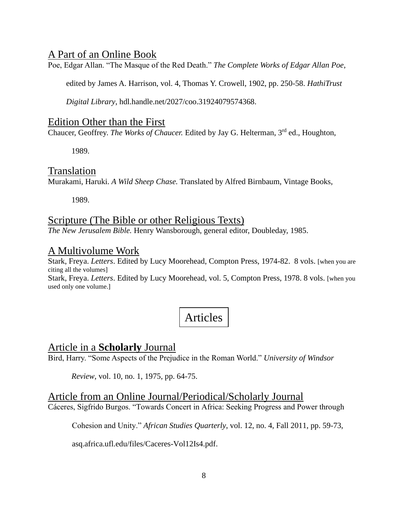# A Part of an Online Book

Poe, Edgar Allan. "The Masque of the Red Death." *The Complete Works of Edgar Allan Poe*,

edited by James A. Harrison, vol. 4, Thomas Y. Crowell, 1902, pp. 250-58. *HathiTrust* 

*Digital Library*, hdl.handle.net/2027/coo.31924079574368.

## Edition Other than the First

Chaucer, Geoffrey. The Works of Chaucer. Edited by Jay G. Helterman, 3<sup>rd</sup> ed., Houghton,

1989.

# Translation

Murakami, Haruki. *A Wild Sheep Chase.* Translated by Alfred Birnbaum, Vintage Books,

1989.

# Scripture (The Bible or other Religious Texts)

*The New Jerusalem Bible.* Henry Wansborough, general editor, Doubleday, 1985.

# A Multivolume Work

Stark, Freya. *Letters*. Edited by Lucy Moorehead, Compton Press, 1974-82. 8 vols. [when you are citing all the volumes]

Stark, Freya. *Letters*. Edited by Lucy Moorehead, vol. 5, Compton Press, 1978. 8 vols. [when you used only one volume.]

# Articles

# Article in a **Scholarly** Journal

Bird, Harry. "Some Aspects of the Prejudice in the Roman World." *University of Windsor* 

*Review*, vol. 10, no. 1, 1975, pp. 64-75.

# Article from an Online Journal/Periodical/Scholarly Journal

Cáceres, Sigfrido Burgos. "Towards Concert in Africa: Seeking Progress and Power through

Cohesion and Unity." *African Studies Quarterly*, vol. 12, no. 4, Fall 2011, pp. 59-73,

asq.africa.ufl.edu/files/Caceres-Vol12Is4.pdf.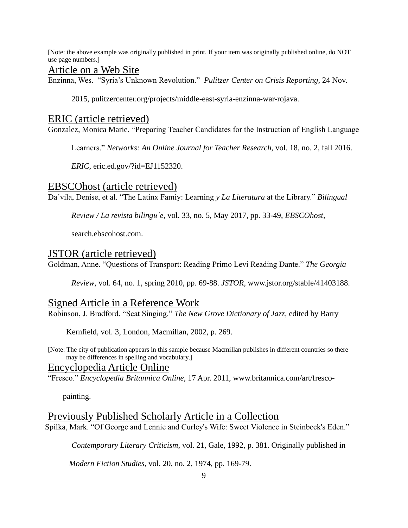[Note: the above example was originally published in print. If your item was originally published online, do NOT use page numbers.]

#### Article on a Web Site

Enzinna, Wes. "Syria's Unknown Revolution." *Pulitzer Center on Crisis Reporting*, 24 Nov.

2015, pulitzercenter.org/projects/middle-east-syria-enzinna-war-rojava.

#### ERIC (article retrieved)

Gonzalez, Monica Marie. "Preparing Teacher Candidates for the Instruction of English Language

Learners." *Networks: An Online Journal for Teacher Research*, vol. 18, no. 2, fall 2016.

*ERIC*, eric.ed.gov/?id=EJ1152320.

#### EBSCOhost (article retrieved)

Daˊvila, Denise, et al. "The Latinx Famiy: Learning *y La Literatura* at the Library." *Bilingual*

*Review / La revista bilinguˊe*, vol. 33, no. 5, May 2017, pp. 33-49, *EBSCOhost,* 

search.ebscohost.com.

#### JSTOR (article retrieved)

Goldman, Anne. "Questions of Transport: Reading Primo Levi Reading Dante." *The Georgia* 

*Review*, vol. 64, no. 1, spring 2010, pp. 69-88. *JSTOR,* www.jstor.org/stable/41403188.

#### Signed Article in a Reference Work

Robinson, J. Bradford. "Scat Singing." *The New Grove Dictionary of Jazz,* edited by Barry

Kernfield, vol. 3, London, Macmillan, 2002, p. 269.

[Note: The city of publication appears in this sample because Macmillan publishes in different countries so there may be differences in spelling and vocabulary.]

#### Encyclopedia Article Online

"Fresco." *Encyclopedia Britannica Online,* 17 Apr. 2011, www.britannica.com/art/fresco-

painting.

#### Previously Published Scholarly Article in a Collection

Spilka, Mark. "Of George and Lennie and Curley's Wife: Sweet Violence in Steinbeck's Eden."

*Contemporary Literary Criticism*, vol. 21, Gale, 1992, p. 381. Originally published in

*Modern Fiction Studies*, vol. 20, no. 2, 1974, pp. 169-79.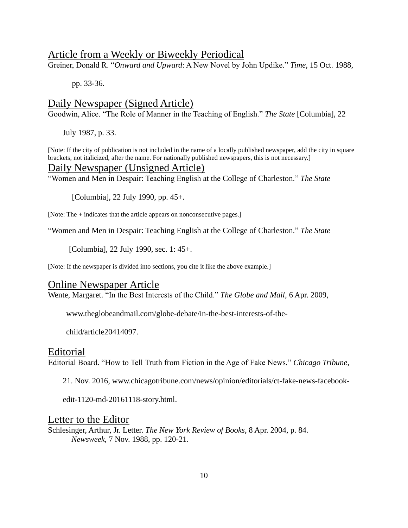#### Article from a Weekly or Biweekly Periodical

Greiner, Donald R. "*Onward and Upward*: A New Novel by John Updike." *Time*, 15 Oct. 1988,

pp. 33-36.

# Daily Newspaper (Signed Article)

Goodwin, Alice. "The Role of Manner in the Teaching of English." *The State* [Columbia], 22

July 1987, p. 33.

[Note: If the city of publication is not included in the name of a locally published newspaper, add the city in square brackets, not italicized, after the name. For nationally published newspapers, this is not necessary.]

# Daily Newspaper (Unsigned Article)

"Women and Men in Despair: Teaching English at the College of Charleston." *The State* 

[Columbia], 22 July 1990, pp. 45+.

[Note: The + indicates that the article appears on nonconsecutive pages.]

"Women and Men in Despair: Teaching English at the College of Charleston." *The State*

[Columbia], 22 July 1990, sec. 1: 45+.

[Note: If the newspaper is divided into sections, you cite it like the above example.]

#### Online Newspaper Article

Wente, Margaret. "In the Best Interests of the Child." *The Globe and Mail*, 6 Apr. 2009,

www.theglobeandmail.com/globe-debate/in-the-best-interests-of-the-

child/article20414097.

#### Editorial

Editorial Board. "How to Tell Truth from Fiction in the Age of Fake News." *Chicago Tribune*,

21. Nov. 2016, www.chicagotribune.com/news/opinion/editorials/ct-fake-news-facebook-

edit-1120-md-20161118-story.html.

#### Letter to the Editor

Schlesinger, Arthur, Jr. Letter. *The New York Review of Books*, 8 Apr. 2004, p. 84. *Newsweek*, 7 Nov. 1988, pp. 120-21.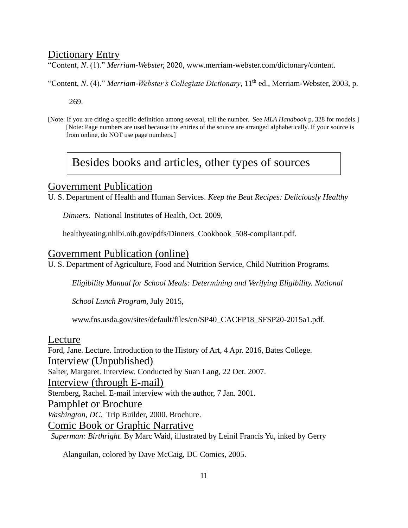# Dictionary Entry

"Content, *N*. (1)." *Merriam-Webster,* 2020, www.merriam-webster.com/dictonary/content.

"Content, *N.* (4)." *Merriam-Webster's Collegiate Dictionary*, 11<sup>th</sup> ed., Merriam-Webster, 2003, p.

269.

[Note: If you are citing a specific definition among several, tell the number. See *MLA Handbook* p. 328 for models.] [Note: Page numbers are used because the entries of the source are arranged alphabetically. If your source is from online, do NOT use page numbers.]

# Besides books and articles, other types of sources

# Government Publication

U. S. Department of Health and Human Services. *Keep the Beat Recipes: Deliciously Healthy* 

*Dinners*. National Institutes of Health, Oct. 2009,

healthyeating.nhlbi.nih.gov/pdfs/Dinners\_Cookbook\_508-compliant.pdf.

# Government Publication (online)

U. S. Department of Agriculture, Food and Nutrition Service, Child Nutrition Programs.

*Eligibility Manual for School Meals: Determining and Verifying Eligibility. National* 

*School Lunch Program,* July 2015,

www.fns.usda.gov/sites/default/files/cn/SP40\_CACFP18\_SFSP20-2015a1.pdf.

## Lecture

Ford, Jane. Lecture. Introduction to the History of Art, 4 Apr. 2016, Bates College. Interview (Unpublished) Salter, Margaret. Interview. Conducted by Suan Lang, 22 Oct. 2007. Interview (through E-mail) Sternberg, Rachel. E-mail interview with the author, 7 Jan. 2001. Pamphlet or Brochure *Washington, DC.* Trip Builder, 2000. Brochure. Comic Book or Graphic Narrative *Superman: Birthright*. By Marc Waid, illustrated by Leinil Francis Yu, inked by Gerry

Alanguilan, colored by Dave McCaig, DC Comics, 2005.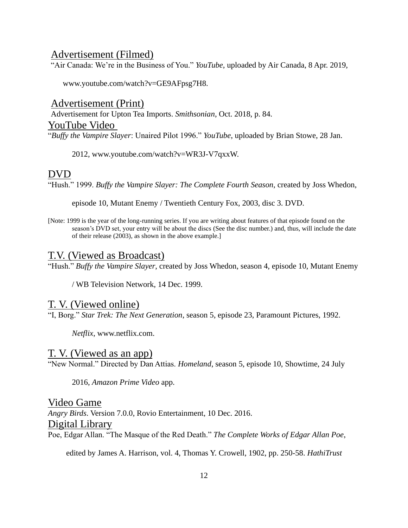## Advertisement (Filmed)

"Air Canada: We're in the Business of You." *YouTube*, uploaded by Air Canada, 8 Apr. 2019,

www.youtube.com/watch?v=GE9AFpsg7H8.

Advertisement (Print) Advertisement for Upton Tea Imports. *Smithsonian*, Oct. 2018, p. 84. YouTube Video "*Buffy the Vampire Slayer*: Unaired Pilot 1996." *YouTube*, uploaded by Brian Stowe, 28 Jan.

2012, www.youtube.com/watch?v=WR3J-V7qxxW.

#### DVD

"Hush." 1999. *Buffy the Vampire Slayer: The Complete Fourth Season*, created by Joss Whedon,

episode 10, Mutant Enemy / Twentieth Century Fox, 2003, disc 3. DVD.

[Note: 1999 is the year of the long-running series. If you are writing about features of that episode found on the season's DVD set, your entry will be about the discs (See the disc number.) and, thus, will include the date of their release (2003), as shown in the above example.]

#### T.V. (Viewed as Broadcast)

"Hush." *Buffy the Vampire Slayer*, created by Joss Whedon, season 4, episode 10, Mutant Enemy

/ WB Television Network, 14 Dec. 1999.

# T. V. (Viewed online)

"I, Borg." *Star Trek: The Next Generation*, season 5, episode 23, Paramount Pictures, 1992.

*Netflix*, www.netflix.com.

#### T. V. (Viewed as an app)

"New Normal." Directed by Dan Attias. *Homeland*, season 5, episode 10, Showtime, 24 July

2016, *Amazon Prime Video* app.

Video Game *Angry Birds*. Version 7.0.0, Rovio Entertainment, 10 Dec. 2016. Digital Library Poe, Edgar Allan. "The Masque of the Red Death." *The Complete Works of Edgar Allan Poe*,

edited by James A. Harrison, vol. 4, Thomas Y. Crowell, 1902, pp. 250-58. *HathiTrust*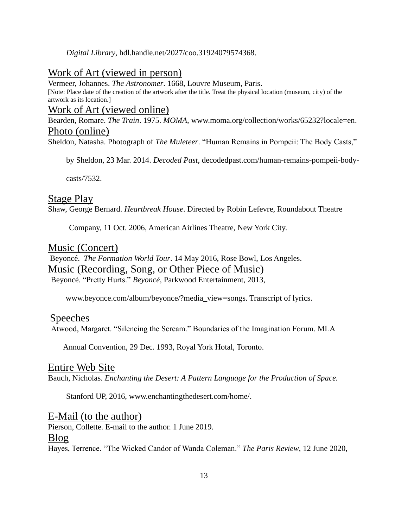*Digital Library*, hdl.handle.net/2027/coo.31924079574368.

# Work of Art (viewed in person)

Vermeer, Johannes. *The Astronomer*. 1668, Louvre Museum, Paris. [Note: Place date of the creation of the artwork after the title. Treat the physical location (museum, city) of the artwork as its location.]

## Work of Art (viewed online)

Bearden, Romare. *The Train*. 1975. *MOMA*, www.moma.org/collection/works/65232?locale=en. Photo (online)

Sheldon, Natasha. Photograph of *The Muleteer*. "Human Remains in Pompeii: The Body Casts,"

by Sheldon, 23 Mar. 2014. *Decoded Past*, decodedpast.com/human-remains-pompeii-body-

casts/7532.

# Stage Play

Shaw, George Bernard. *Heartbreak House*. Directed by Robin Lefevre, Roundabout Theatre

Company, 11 Oct. 2006, American Airlines Theatre, New York City.

# Music (Concert)

Beyoncé. *The Formation World Tour*. 14 May 2016, Rose Bowl, Los Angeles. Music (Recording, Song, or Other Piece of Music) Beyoncé. "Pretty Hurts." *Beyoncé*, Parkwood Entertainment, 2013,

www.beyonce.com/album/beyonce/?media\_view=songs. Transcript of lyrics.

## Speeches

Atwood, Margaret. "Silencing the Scream." Boundaries of the Imagination Forum. MLA

Annual Convention, 29 Dec. 1993, Royal York Hotal, Toronto.

## Entire Web Site

Bauch, Nicholas. *Enchanting the Desert: A Pattern Language for the Production of Space.* 

Stanford UP, 2016, www.enchantingthedesert.com/home/.

## E-Mail (to the author)

Pierson, Collette. E-mail to the author. 1 June 2019. Blog Hayes, Terrence. "The Wicked Candor of Wanda Coleman." *The Paris Review*, 12 June 2020,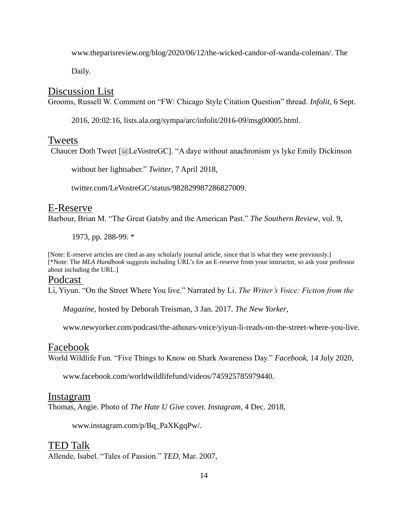www.theparisreview.org/blog/2020/06/12/the-wicked-candor-of-wanda-coleman/. The

Daily.

#### Discussion List

Grooms, Russell W. Comment on "FW: Chicago Style Citation Question" thread. *Infolit*, 6 Sept.

2016, 20:02:16, lists.ala.org/sympa/arc/infolit/2016-09/msg00005.html.

#### Tweets

Chaucer Doth Tweet [@LeVostreGC]. "A daye without anachronism ys lyke Emily Dickinson

without her lightsaber." *Twitter*, 7 April 2018,

twitter.com/LeVostreGC/status/982829987286827009.

#### E-Reserve

Barbour, Brian M. "The Great Gatsby and the American Past." *The Southern Review*, vol. 9,

1973, pp. 288-99. \*

[Note: E-reserve articles are cited as any scholarly journal article, since that is what they were previously.] [\*Note: The *MLA Handbook* suggests including URL's for an E-reserve from your instructor, so ask your professor about including the URL.]

#### Podcast

Li, Yiyun. "On the Street Where You live." Narrated by Li. *The Writer's Voice: Fiction from the* 

*Magazine*, hosted by Deborah Treisman, 3 Jan. 2017. *The New Yorker*,

www.newyorker.com/podcast/the-athours-voice/yiyun-li-reads-on-the-street-where-you-live.

#### Facebook

World Wildlife Fun. "Five Things to Know on Shark Awareness Day." *Facebook*, 14 July 2020,

www.facebook.com/worldwildlifefund/videos/745925785979440.

#### Instagram

Thomas, Angie. Photo of *The Hate U Give* cover. *Instagram*, 4 Dec. 2018,

www.instagram.com/p/Bq\_PaXKgqPw/.

#### TED Talk

Allende, Isabel. "Tales of Passion." *TED*, Mar. 2007,